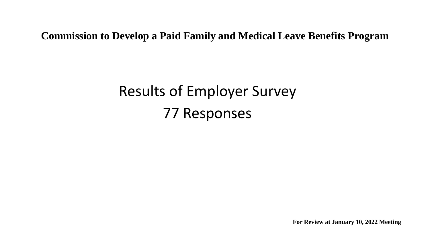**Commission to Develop a Paid Family and Medical Leave Benefits Program**

## Results of Employer Survey 77 Responses

**For Review at January 10, 2022 Meeting**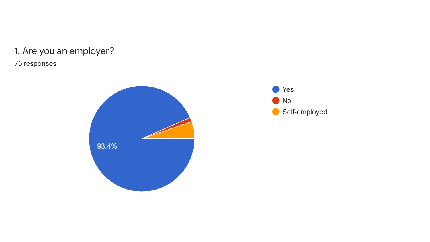## 1. Are you an employer? 76 responses



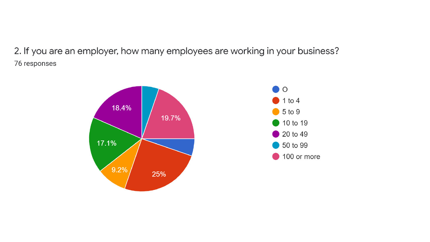2. If you are an employer, how many employees are working in your business? 76 responses

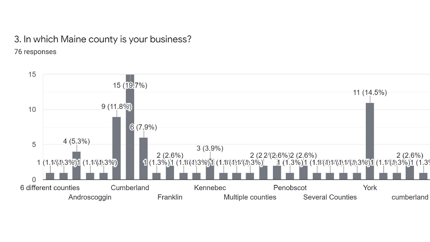## 3. In which Maine county is your business? 76 responses

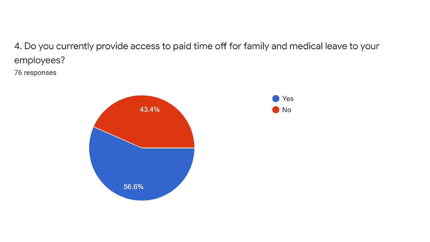4. Do you currently provide access to paid time off for family and medical leave to your employees?

76 responses



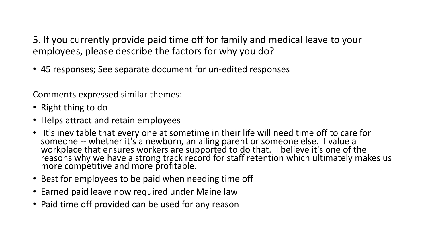5. If you currently provide paid time off for family and medical leave to your employees, please describe the factors for why you do?

• 45 responses; See separate document for un-edited responses

Comments expressed similar themes:

- Right thing to do
- Helps attract and retain employees
- It's inevitable that every one at sometime in their life will need time off to care for someone -- whether it's a newborn, an ailing parent or someone else. I value a workplace that ensures workers are supported to do that. I believe it's one of the reasons why we have a strong track record for staff retention which ultimately makes us more competitive and more profitable.
- Best for employees to be paid when needing time off
- Earned paid leave now required under Maine law
- Paid time off provided can be used for any reason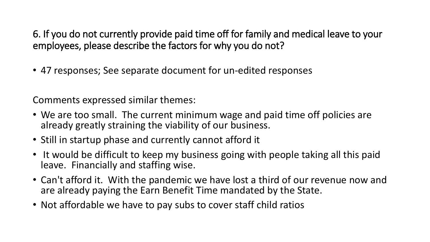6. If you do not currently provide paid time off for family and medical leave to your employees, please describe the factors for why you do not?

• 47 responses; See separate document for un-edited responses

Comments expressed similar themes:

- We are too small. The current minimum wage and paid time off policies are already greatly straining the viability of our business.
- Still in startup phase and currently cannot afford it
- It would be difficult to keep my business going with people taking all this paid leave. Financially and staffing wise.
- Can't afford it. With the pandemic we have lost a third of our revenue now and are already paying the Earn Benefit Time mandated by the State.
- Not affordable we have to pay subs to cover staff child ratios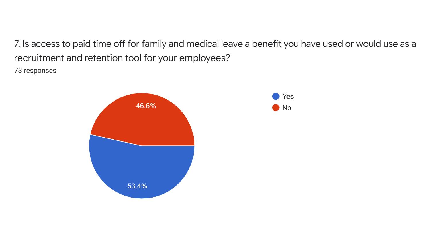7. Is access to paid time off for family and medical leave a benefit you have used or would use as a recruitment and retention tool for your employees?

73 responses

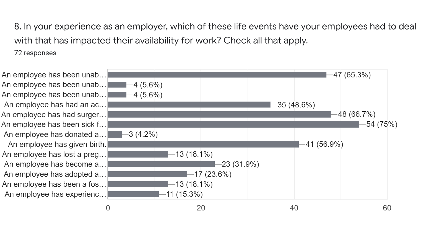8. In your experience as an employer, which of these life events have your employees had to deal with that has impacted their availability for work? Check all that apply.

72 responses

An employee has been unab... An employee has been unab... An employee has been unab... An employee has had an ac... An employee has had surger... An employee has been sick f... An employee has donated a... An employee has given birth. An employee has lost a preg... An employee has become a... An employee has adopted a... An employee has been a fos... An employee has experienc...

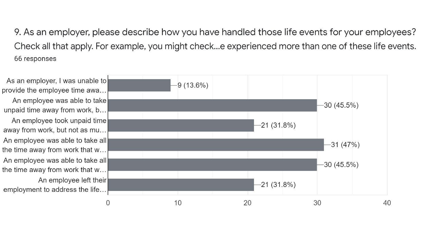9. As an employer, please describe how you have handled those life events for your employees? Check all that apply. For example, you might check...e experienced more than one of these life events. 66 responses

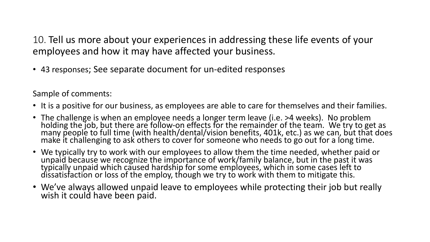10. Tell us more about your experiences in addressing these life events of your employees and how it may have affected your business.

• 43 responses; See separate document for un-edited responses

Sample of comments:

- It is a positive for our business, as employees are able to care for themselves and their families.
- The challenge is when an employee needs a longer term leave (i.e. >4 weeks). No problem holding the job, but there are follow-on effects for the remainder of the team. We try to get as many people to full time (with health/dental/vision benefits, 401k, etc.) as we can, but that does make it challenging to ask others to cover for someone who needs to go out for a long time.
- We typically try to work with our employees to allow them the time needed, whether paid or unpaid because we recognize the importance of work/family balance, but in the past it was typically unpaid which caused hardship for some employees, which in some cases left to dissatisfaction or loss of the employ, though we try to work with them to mitigate this.
- We've always allowed unpaid leave to employees while protecting their job but really wish it could have been paid.